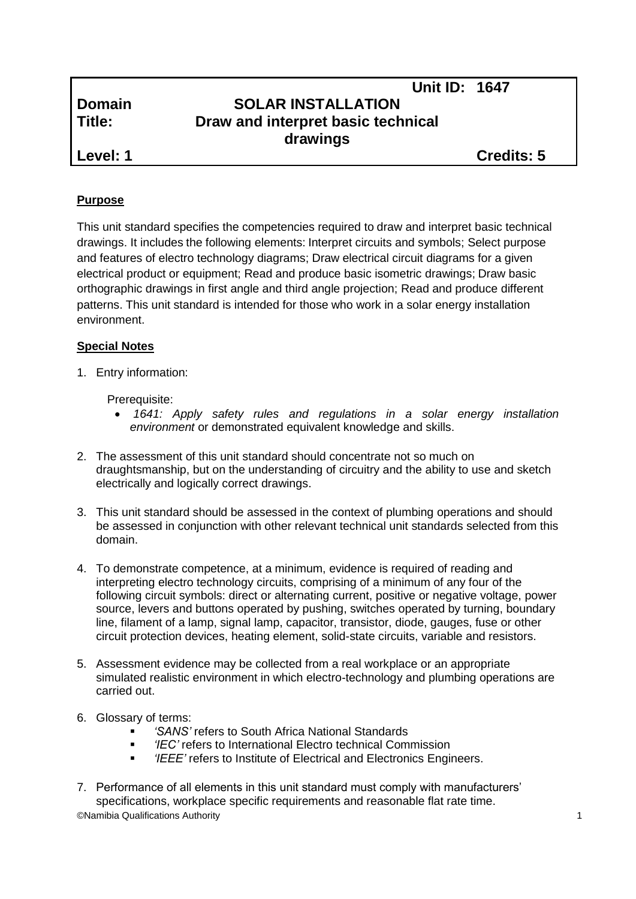# **Unit ID: 1647 Domain SOLAR INSTALLATION Title: Draw and interpret basic technical drawings**

**Level: 1 Credits: 5**

## **Purpose**

This unit standard specifies the competencies required to draw and interpret basic technical drawings. It includes the following elements: Interpret circuits and symbols; Select purpose and features of electro technology diagrams; Draw electrical circuit diagrams for a given electrical product or equipment; Read and produce basic isometric drawings; Draw basic orthographic drawings in first angle and third angle projection; Read and produce different patterns. This unit standard is intended for those who work in a solar energy installation environment.

## **Special Notes**

1. Entry information:

## Prerequisite:

- *1641: Apply safety rules and regulations in a solar energy installation environment* or demonstrated equivalent knowledge and skills.
- 2. The assessment of this unit standard should concentrate not so much on draughtsmanship, but on the understanding of circuitry and the ability to use and sketch electrically and logically correct drawings.
- 3. This unit standard should be assessed in the context of plumbing operations and should be assessed in conjunction with other relevant technical unit standards selected from this domain.
- 4. To demonstrate competence, at a minimum, evidence is required of reading and interpreting electro technology circuits, comprising of a minimum of any four of the following circuit symbols: direct or alternating current, positive or negative voltage, power source, levers and buttons operated by pushing, switches operated by turning, boundary line, filament of a lamp, signal lamp, capacitor, transistor, diode, gauges, fuse or other circuit protection devices, heating element, solid-state circuits, variable and resistors.
- 5. Assessment evidence may be collected from a real workplace or an appropriate simulated realistic environment in which electro-technology and plumbing operations are carried out.
- 6. Glossary of terms:
	- *'SANS'* refers to South Africa National Standards
	- *'IEC'* refers to International Electro technical Commission
	- *'IEEE'* refers to Institute of Electrical and Electronics Engineers.
- ©Namibia Qualifications Authority 1 7. Performance of all elements in this unit standard must comply with manufacturers' specifications, workplace specific requirements and reasonable flat rate time.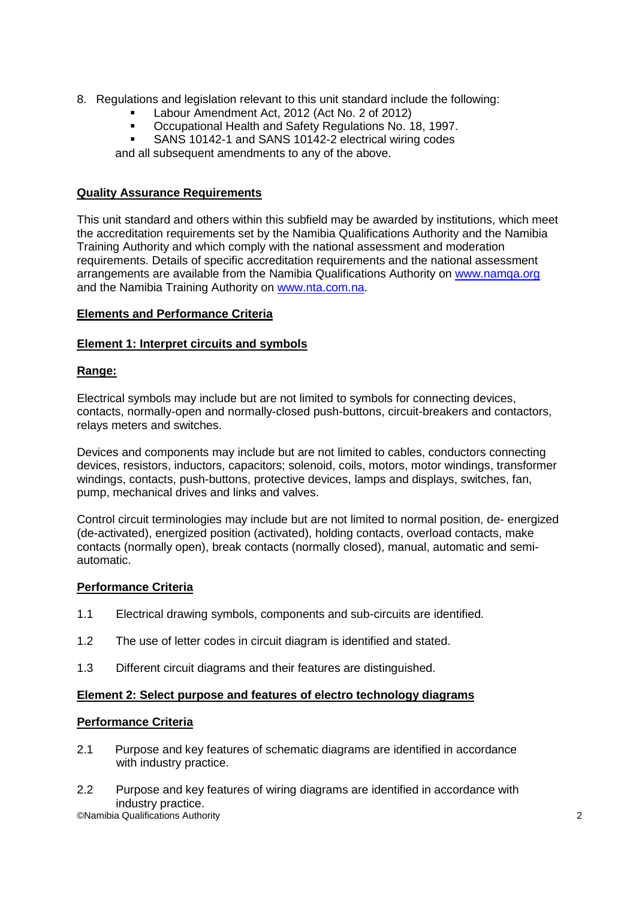- 8. Regulations and legislation relevant to this unit standard include the following:
	- Labour Amendment Act, 2012 (Act No. 2 of 2012)
	- Occupational Health and Safety Regulations No. 18, 1997.
	- **SANS 10142-1 and SANS 10142-2 electrical wiring codes**

and all subsequent amendments to any of the above.

## **Quality Assurance Requirements**

This unit standard and others within this subfield may be awarded by institutions, which meet the accreditation requirements set by the Namibia Qualifications Authority and the Namibia Training Authority and which comply with the national assessment and moderation requirements. Details of specific accreditation requirements and the national assessment arrangements are available from the Namibia Qualifications Authority on [www.namqa.org](http://www.namqa.org/) and the Namibia Training Authority on [www.nta.com.na.](http://www.nta.com.na/)

## **Elements and Performance Criteria**

## **Element 1: Interpret circuits and symbols**

## **Range:**

Electrical symbols may include but are not limited to symbols for connecting devices, contacts, normally-open and normally-closed push-buttons, circuit-breakers and contactors, relays meters and switches.

Devices and components may include but are not limited to cables, conductors connecting devices, resistors, inductors, capacitors; solenoid, coils, motors, motor windings, transformer windings, contacts, push-buttons, protective devices, lamps and displays, switches, fan, pump, mechanical drives and links and valves.

Control circuit terminologies may include but are not limited to normal position, de- energized (de-activated), energized position (activated), holding contacts, overload contacts, make contacts (normally open), break contacts (normally closed), manual, automatic and semiautomatic.

## **Performance Criteria**

- 1.1 Electrical drawing symbols, components and sub-circuits are identified.
- 1.2 The use of letter codes in circuit diagram is identified and stated.
- 1.3 Different circuit diagrams and their features are distinguished.

## **Element 2: Select purpose and features of electro technology diagrams**

## **Performance Criteria**

- 2.1 Purpose and key features of schematic diagrams are identified in accordance with industry practice.
- ©Namibia Qualifications Authority 2 2.2 Purpose and key features of wiring diagrams are identified in accordance with industry practice.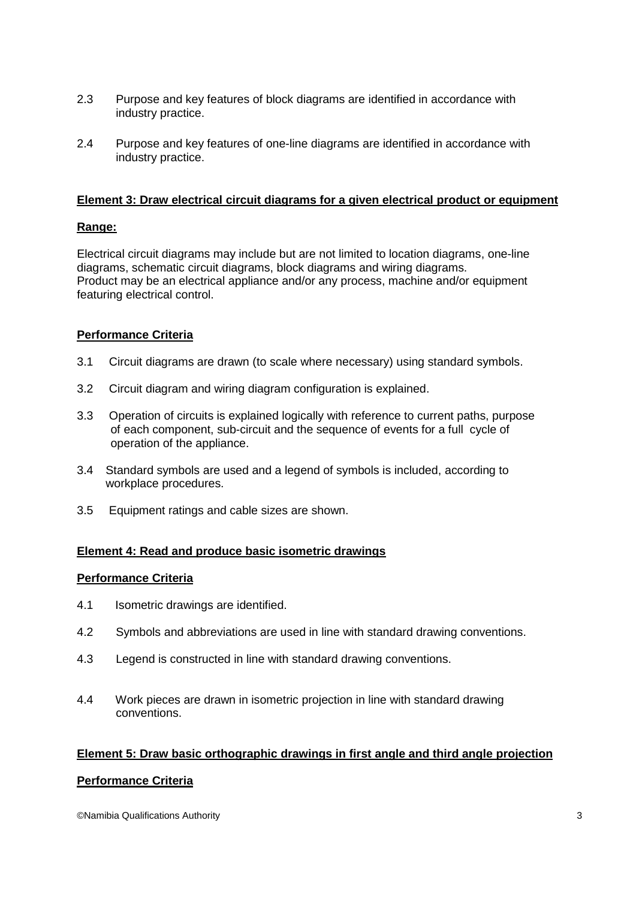- 2.3 Purpose and key features of block diagrams are identified in accordance with industry practice.
- 2.4 Purpose and key features of one-line diagrams are identified in accordance with industry practice.

### **Element 3: Draw electrical circuit diagrams for a given electrical product or equipment**

#### **Range:**

Electrical circuit diagrams may include but are not limited to location diagrams, one-line diagrams, schematic circuit diagrams, block diagrams and wiring diagrams. Product may be an electrical appliance and/or any process, machine and/or equipment featuring electrical control.

## **Performance Criteria**

- 3.1 Circuit diagrams are drawn (to scale where necessary) using standard symbols.
- 3.2 Circuit diagram and wiring diagram configuration is explained.
- 3.3 Operation of circuits is explained logically with reference to current paths, purpose of each component, sub-circuit and the sequence of events for a full cycle of operation of the appliance.
- 3.4 Standard symbols are used and a legend of symbols is included, according to workplace procedures.
- 3.5 Equipment ratings and cable sizes are shown.

#### **Element 4: Read and produce basic isometric drawings**

#### **Performance Criteria**

- 4.1 Isometric drawings are identified.
- 4.2 Symbols and abbreviations are used in line with standard drawing conventions.
- 4.3 Legend is constructed in line with standard drawing conventions.
- 4.4 Work pieces are drawn in isometric projection in line with standard drawing conventions.

## **Element 5: Draw basic orthographic drawings in first angle and third angle projection**

#### **Performance Criteria**